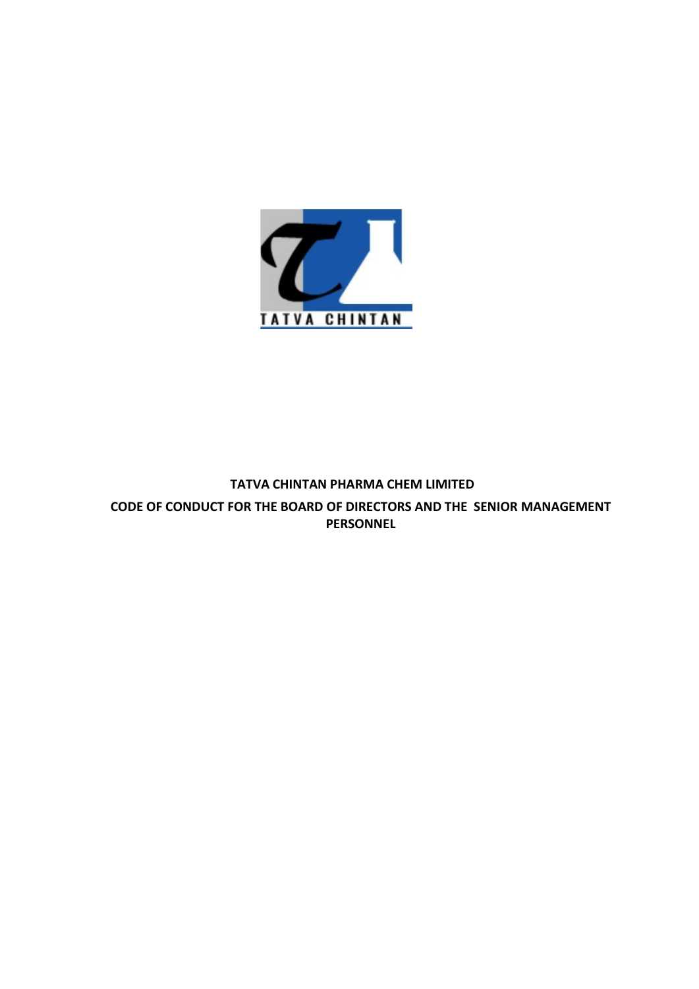

PERSONNEL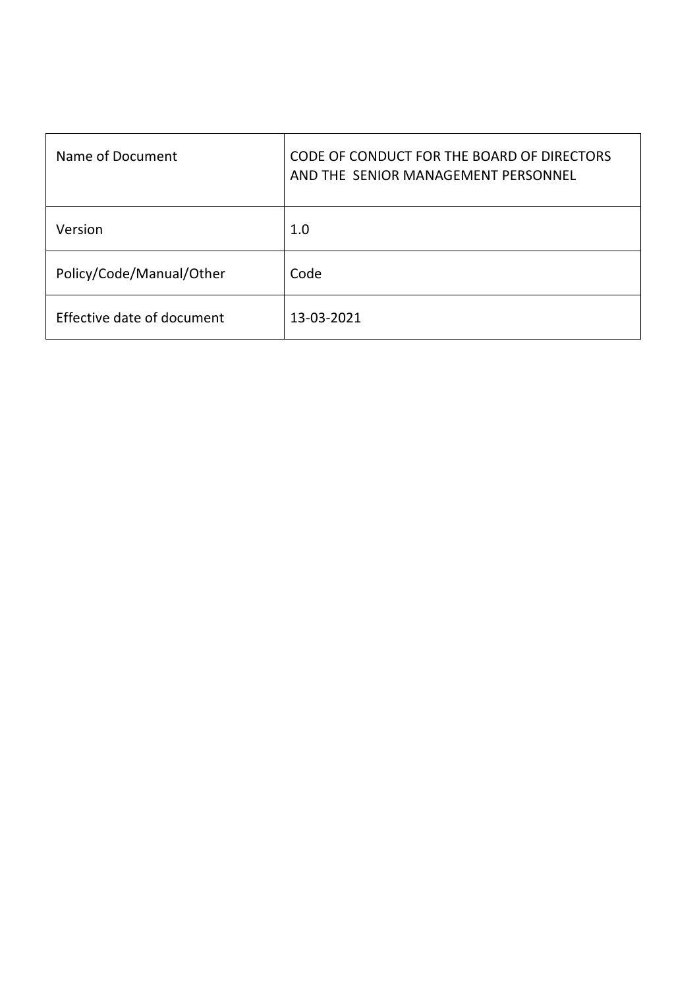| Name of Document           | CODE OF CONDUCT FOR THE BOARD OF DIRECTORS<br>AND THE SENIOR MANAGEMENT PERSONNEL |
|----------------------------|-----------------------------------------------------------------------------------|
| Version                    | 1.0                                                                               |
| Policy/Code/Manual/Other   | Code                                                                              |
| Effective date of document | 13-03-2021                                                                        |
|                            |                                                                                   |
|                            |                                                                                   |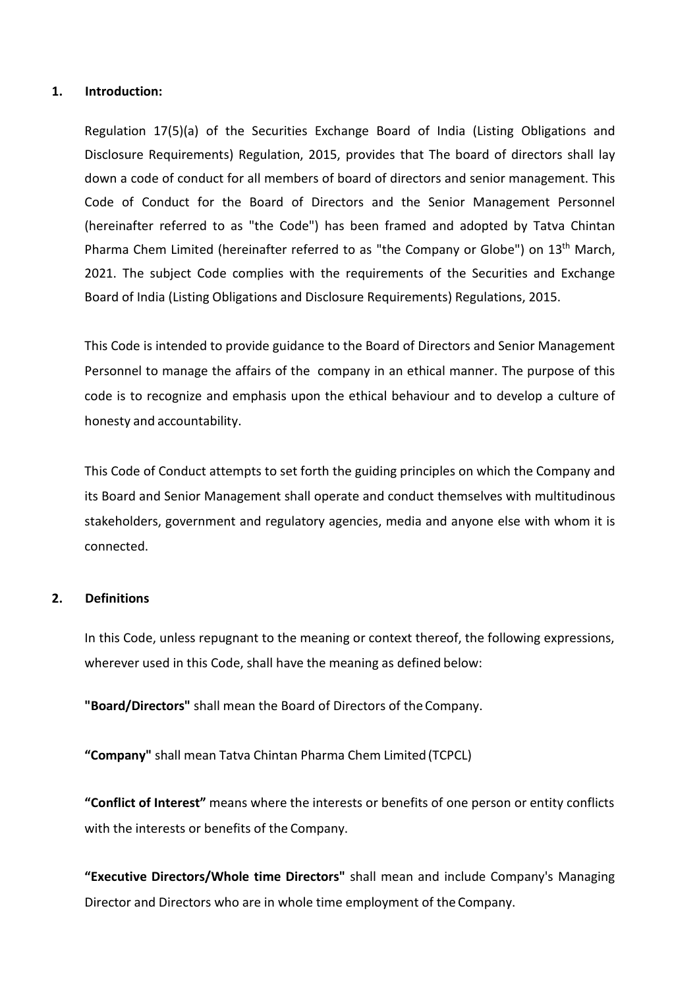1. Introduction:<br>Regulation 17(5)(a) of the Securities Exchange Board of India<br>Disclosure Requirements) Regulation, 2015, provides that The bo<br>down a code of conduct for all members of board of directors and Introduction:<br>Regulation 17(5)(a) of the Securities Exchange Board of India (Listing Obligations and<br>Disclosure Requirements) Regulation, 2015, provides that The board of directors shall lay<br>down a code of conduct for all Introduction:<br>Regulation 17(5)(a) of the Securities Exchange Board of India (Listing Obligations and<br>Disclosure Requirements) Regulation, 2015, provides that The board of directors shall lay<br>down a code of conduct for all Introduction:<br>Regulation 17(5)(a) of the Securities Exchange Board of India (Listing Obligations and<br>Disclosure Requirements) Regulation, 2015, provides that The board of directors shall lay<br>down a code of conduct for all Introduction:<br>Regulation 17(5)(a) of the Securities Exchange Board of India (Listing Obligations and<br>Disclosure Requirements) Regulation, 2015, provides that The board of directors shall lay<br>down a code of conduct for all **Introduction:**<br>Regulation 17(5)(a) of the Securities Exchange Board of India (Listing Obligations and<br>Disclosure Requirements) Regulation, 2015, provides that The board of directors shall lay<br>down a code of conduct for al Introduction:<br>Regulation 17(5)(a) of the Securities Exchange Board of India (Listing Obligations and<br>Disclosure Requirements) Regulation, 2015, provides that The board of directors shall lay<br>down a code of conduct for all **Introduction:**<br>Regulation 17(5)(a) of the Securities Exchange Board of India (Listing Obligations and<br>Disclosure Requirements) Regulation, 2015, provides that The board of directors shall lay<br>down a code of conduct for al Regulation 17(5)(a) of the Securities Exchange Board of India (Listing Obligations and<br>Disclosure Requirements) Regulation, 2015, provides that The board of directors shall lay<br>down a code of conduct for all members of boa Introduction:<br>
Regulation 17(5)(a) of the Securities Exchange Board of India (Listing Obligations and<br>
Disclosure Requirements) Regulation, 2015, provides that The board of directors shall lay<br>
down a code of conduct for t Introduction:<br>
Regulation 17(5)(a) of the Securities Exchange Board of India (Listing Obligations and<br>
Disclosure Requirements) Regulation, 2015, provides that The board of directors shall lay<br>
down a code of conduct for a Regulation 17(5)(a) of the Securities Exchange Board of India (Listing Obligations and<br>Disclosure Requirements) Regulation, 2015, provides that The board of directors shall lay<br>down a code of conduct for all members of boa Regulation 17(5)(a) of the Securities Exchange Board of India (Listing Obl<br>Disclosure Requirements) Regulation, 2015, provides that The board of direct<br>down a code of conduct for all members of board of directors and senio down a code of conduct for all members of board of directors and senior management. Ins<br>Code of Conduct for the Board of Directors and the Senior Management Personnel<br>(hereinafter referred to as "the Company or Globe") on Code or Conduct for the board or Directors and the Senior Management Personnel<br>(hereinafter referred to as "the Code") has been framed and adopted by Tatva Chintan<br>Pharma Chem Limitted (hereinafter referred to as "the Comp

(netentation Telerical to as the Coue *f* has been framed and adopted by Tatva Chimma Chem<br>Pharma Chem Limited (hereinafter referred to as "the Company or Globe") on 13<sup>th</sup> March,<br>2021. The subject Code complies with the r This Code is intended to provide guidance to the Board of Directors<br>Personnel to manage the affairs of the company in an ethical mal<br>code is to recognize and emphasis upon the ethical behaviour an<br>honesty and accountabilit

connected. This Code is intended to provide guidance to the Board of Directors and Senior Management<br>Personnel to manage the affairs of the company in an ethical manner. The purpose of this<br>code, is to recognize and emphasis upon the Personnel to manage the aftairs of the company in an ethical manner. The purpose of this code is to recognize and emphasis upon the ethical behaviour and to develop a culture of honesty and accountability.<br>This Code of Con honesty and accountability.<br>
This Code of Conduct attempts to set forth the guiding principles on which the Company and<br>
its Board and Senior Management shall operate and conduct themselves with multitudinous<br>
stakeholders This Code of Conduct attempts to set forth the guiding principles on which the Company and<br>its Board and Senior Management shall operate and conduct themselves with multitudinous<br>stakeholders, government and regulatory age stakeholders, government and regulatory agencies, media and anyone else with whom it is<br>connected.<br>Definitions<br>In this Code, unless repugnant to the meaning or context thereof, the following expressions,<br>wherever used in t

connected.<br>
Definitions<br>
In this Code, unless repugnant to the meaning or context thereof, the following expressions,<br>
wherever used in this Code, shall have the meaning as defined below:<br>
"Board/Directors" shall mean Tatv **Definitions**<br>In this Code, unless repugnant to the meaning or context thereof, the following expressions,<br>wherever used in this Code, shall have the meaning as defined below:<br>"**Board/Directors**" shall mean the Board of Di In this Code, unless repugnant to the meaning or context thereof, the following expressions,<br>wherever used in this Code, shall have the meaning as defined below:<br>"Board/Directors" shall mean the Board of Directors of the C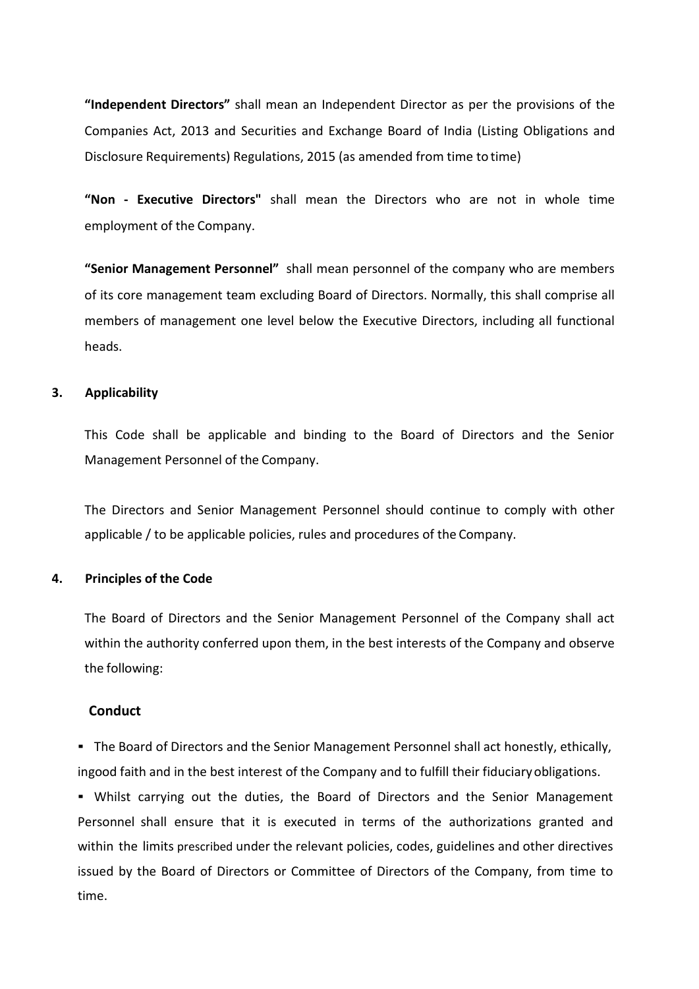"Independent Directors" shall mean an Independent Director as per the provisions of the<br>Companies Act, 2013 and Securities and Exchange Board of India (Listing Obligations and<br>Disclosure Requirements) Regulations, 2015 (as "Independent Directors" shall mean an Independent Director as per the provisions of the<br>Companies Act, 2013 and Securities and Exchange Board of India (Listing Obligations and<br>Disclosure Requirements) Regulations, 2015 (as "Independent Directors" shall mean an Independent Director as per the provisions of the<br>Companies Act, 2013 and Securities and Exchange Board of India (Listing Obligations and<br>Disclosure Requirements) Regulations, 2015 (as "Independent Directors" shall mean an Independent Director as per the provisions of the<br>Companies Act, 2013 and Securities and Exchange Board of India (Listing Obligations and<br>Disclosure Requirements) Regulations, 2015 (as "Independent Directors" shall mean an Independent Director as per the provisions of Companies Act, 2013 and Securities and Exchange Board of India (Listing Obligation Disclosure Requirements) Regulations, 2015 (as amended

"Independent Directors" shall mean an Independent Director as per the provisions of the Companies Act, 2013 and Securities and Exchange Board of India (Listing Obligations and Disclosure Requirements) Regulations, 2015 (as "Independent Directors" shall mean an Independent Director as per the provisions of the Companies Act, 2013 and Securities and Exchange Board of India (Listing Obligations and Disclosure Requirements) Regulations, 2015 (as "Independent Directors" shall mean an Independent Director as per the provisions of the Companies Act, 2013 and Securities and Exchange Board of India (Listing Obligations and Disclosure Requirements) Regulations, 2015 (as heads. "Independent Directors" shall mean an Independent Director as<br>
Companies Act, 2013 and Securities and Exchange Board of India<br>
Disclosure Requirements) Regulations, 2015 (as amended from time<br>
"Non - Executive Directors" s Disclosure Requirements) Regulations, 2015 (as amended from time to time)<br>
"Non - Executive Directors" shall mean the Directors who are not in whole time<br>
employment of the Company.<br>
"Senior Management Personnel" shall mea "Non - Executive Directors" shall mean the Directors who are not in whole time<br>employment of the Company.<br>"Senior Management Personnel" shall mean personnel of the company who are members<br>of its core management team exclud employment of the Company.<br>"Senior Management Personnel" shall mean personnel of the company who are members<br>of its core management team excluding Board of Directors. Normally, this shall comprise all<br>members of management "Senior Management Personnel" shall mean personnel of the company who are members<br>of its core management team excluding Board of Directors. Normally, this shall comprise all<br>members of management one level below the Execut of its core management team excluding Board of Directors. Normally, this shall com<br>
members of management one level below the Executive Directors, including all fu<br>
heads.<br> **3.** Applicability<br>
This Code shall be applicable

members of management one locet octom interactors and of Directors, menaling an innectorial<br>Reads.<br>The Directors and Senior Management Personnel should continue to comply with other<br>applicable / to be applicable policies, meads.<br>This Code shall be applicable and binding to the Board of Directors and the Senior<br>Management Personnel of the Company.<br>The Directors and Senior Management Personnel should continue to comply with other<br>applicable / Applicability<br>This Code shall be applicable and binding to the Board of Direc<br>Management Personnel of the Company.<br>The Directors and Senior Management Personnel should continue t<br>applicable / to be applicable policies, rul Management Personnel of the Company.<br>
The Directors and Senior Management Personnel should continue to comply with other<br>
applicable / to be applicable policies, rules and procedures of the Company.<br>
Principles of the Code

# **Conduct**

The Directors and Senior Management Personnel should continue to comply with other<br>applicable / to be applicable policies, rules and procedures of the Company.<br> **Principles of the Code**<br>
The Board of Directors and the Seni applicable / to be applicable policies, rules and procedures of the Company.<br>
Principles of the Code<br>
The Board of Directors and the Senior Management Personnel of the Company shall act<br>
within the authority conferred upon **Principles of the Code**<br>The Board of Directors and the Senior Management Personnel of the Company shall act<br>within the authority conferred upon them, in the best interests of the Company and observe<br>the following:<br>**Conduc Principles of the Code**<br>The Board of Directors and the Senior Management Personnel of the Company shall act<br>within the authority conferred upon them, in the best interests of the Company and observe<br>the following:<br>**Conduc** time.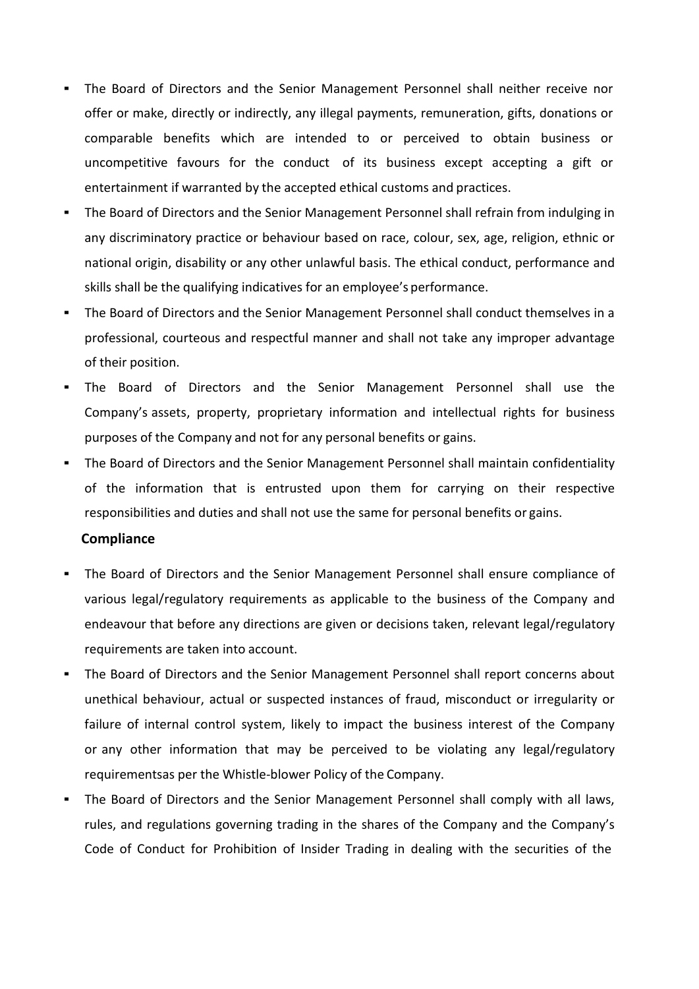- The Board of Directors and the Senior Management Personnel shall neither receive nor<br>offer or make, directly or indirectly, any illegal payments, remuneration, gifts, donations or<br>comparable benefits which are intended t The Board of Directors and the Senior Management Personnel shall neither receive nor<br>offer or make, directly or indirectly, any illegal payments, remuneration, gifts, donations or<br>comparable benefits which are intended to The Board of Directors and the Senior Management Personnel shall neither receive nor<br>offer or make, directly or indirectly, any illegal payments, remuneration, gifts, donations or<br>comparable benefits which are intended to The Board of Directors and the Senior Management Personnel shall neither receive nor<br>offer or make, directly or indirectly, any illegal payments, remuneration, gifts, donations or<br>comparable benefits which are intended to The Board of Directors and the Senior Management Personnel shall neither receive nor<br>offer or make, directly or indirectly, any illegal payments, remuneration, gifts, donations or<br>comparable benefits which are intended to The Board of Directors and the Senior Management Personnel shall neither receive nor<br>offer or make, directly or indirectly, any illegal payments, remuneration, gifts, donations or<br>comparable benefits which are intended to The Board of Directors and the Senior Management Personnel shall neither receive nor<br>offer or make, directly or indirectly, any illegal payments, remuneration, gifts, donations or<br>comparable benefits which are intended to The Board of Directors and the Senior Management Personnel shall neither receive nor<br>offer or make, directly or indirectly, any illegal payments, remuneration, gifts, donations or<br>comparable benefits which are intended to The Board of Directors and the Senior Management Personnel shall neither receive nor<br>offer or make, directly or indirectly, any illegal payments, remuneration, gifts, donations or<br>comparable benefits which are intended to The Board of Directors and the Senior Management Personnel shall neither receive nor<br>offer or make, directly or indirectly, any illegal payments, remuneration, gifts, donations or<br>comparable benefits which are intended to
- Ecomparable benefits which are intended to or perceived to obtain business or<br>uncompetitive favours for the conduct of its business except accepting a gift or<br>entertainment if warranted by the accepted ethical customs and purpompetitive favours for the conduct of its business except accepting a gift or<br>entertainment if warranted by the accepted ethical customs and practices.<br>
• The Board of Directors and the Senior Management Personnel shal The Board of Directors and the Senior Management Personnel shall refrain from indulging in<br>any discriminatory practice or behaviour based on race, colour, sex, age, religion, ethnic or<br>national origin, disability or any ot any discriminatory practice or behaviour based on race, colour, sex, age, religion, ethnic or<br>antional origin, disability or any other unlawful basis. The ethical conduct, performance and<br>skills shall be the qualifying ind
- 
- 
- 

# **Compliance**

- Skills shall be the qualifying indicatives for an employee's performance.<br>
 The Board of Directors and the Senior Management Personnel shall conduct themselves in a<br>
professional, courteous and respectful manner and shall The Board of Directors and the Senior Management Personnel shall conduct themselves in a<br>professional, courteous and respectful manner and shall not take any improper advantage<br>of their position.<br>The Board of Directors and professional, courteous and respectful manner and shall not take any improper advantage<br>of their position.<br>The Board of Directors and the Senior Management Personnel shall use the<br>Company's assets, property, proprietary in
- of their position.<br>
 The Board of Directors and the Senior Management Personnel shall use the<br>
Company's assets, property, proprietary information and intellectual rights for business<br>
purposes of the Company and not for Company's assets, property, proprietary information and intellectual rights for business<br>purposes of the Company and not for any personal benefits or gains.<br>The Board of Directors and the Senior Management Personnel shall purposes of the Company and not for any personal benefits or gains.<br>The Board of Directors and the Senior Management Personnel shall maintain confidentiality<br>of the information that is entrusted upon them for carrying on t The Board of Directors and the Senior Management Personnel shall maintain confidentiality<br>of the information that is entrusted upon them for carrying on their respective<br>responsibilities and duties and shall not use the sa of the information that is entrusted upon them for carrying on their respective<br>responsibilities and driates and shall not use the same for personal benefits or gains.<br> **Compliance**<br> **The Board of Directors and the Senior** Compliance<br>The Board of Directors and the Senior Management Personnel shall ensure compliance of<br>various legal/regulatory requirements as applicable to the business of the Company and<br>endeavour that before any directions a The Board of Directors and the Senior Management Personnel shall ensure compliance of<br>various legal/regulatory requirements as applicable to the business of the Company and<br>endeavour that before any directions are given or
-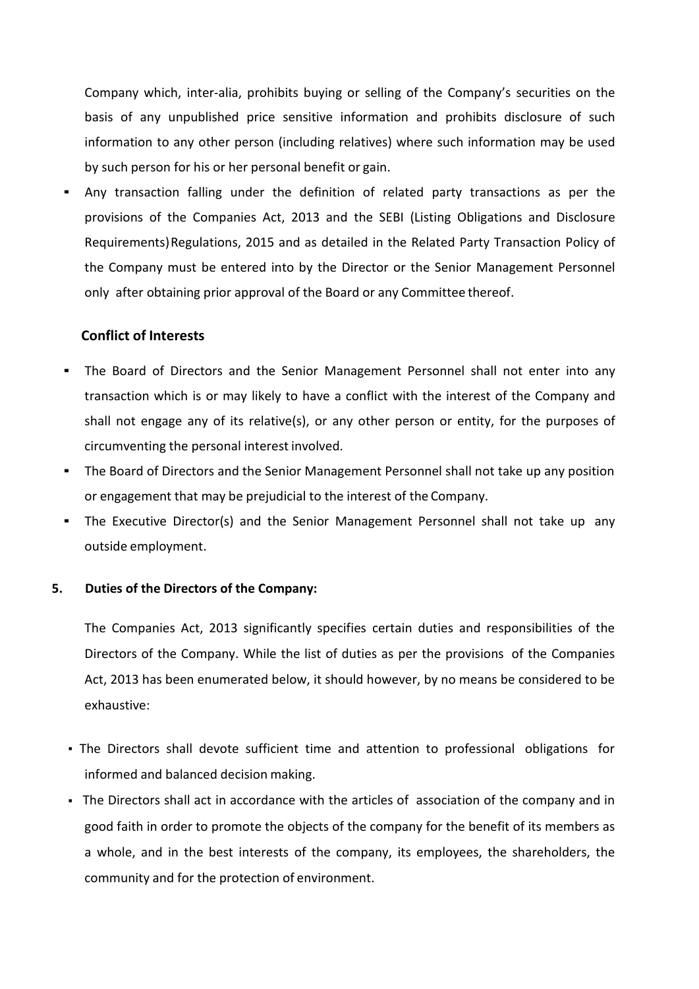Company which, inter-alia, prohibits buying or selling of the Company's securities on the<br>basis of any unpublished price sensitive information and prohibits disclosure of such<br>information to any other person (including rel Company which, inter-alia, prohibits buying or selling of the Company's securities on the<br>basis of any unpublished price sensitive information and prohibits disclosure of such<br>information to any other person (including rel Company which, inter-alia, prohibits buying or selling of the Company's securities on the<br>basis of any unpublished price sensitive information and prohibits disclosure of such<br>information to any other person (including rel

Company which, inter-alia, prohibits buying or selling of the Company's securities on the<br>basis of any unpublished price sensitive information and prohibits disclosure of such<br>information to any other personal benefit or g Company which, inter-alia, prohibits buying or selling of the Company's securities on the basis of any unpublished price sensitive information and prohibits disclosure of such information to any other person (including rel Company which, inter-alia, prohibits buying or selling of the Company's securities on the basis of any unpublished price sensitive information and prohibits disclosure of such information to any other person (including rel Company which, inter-alia, prohibits buying or selling of the Company's securities on the basis of any unpublished price sensitive information and prohibits disclosure of such information to any other person (including rel Company which, inter-alia, prohibits buying or selling of the Company's securities on the<br>basis of any unpublished price sensitive information and prohibits disclosure of such<br>information to any other person (including rel Company which, inter-alia, prohibits buying or selling of the Company's sec<br>basis of any unpublished price sensitive information and prohibits discle<br>information to any other person (including relatives) where such informa Company which, inter-alia, prohibits buying or selling of the Company's securities on the<br>basis of any unpublished price sensitive information and prohibits disclosure of such<br>information to any other personn (including re basis of any unpublished price sensitive information and prohibits disclosure of such<br>information to any other person (including relatives) where such information may be used<br>by such person for his or her personal benefit information to any other person (including relatives) where such information may be used<br>by such person for his or her personal benefit or gain.<br>Any transaction falling under the definition of related party transactions as by such person for his or her personal benefit or gain.<br> **Any transaction falling under the definition of related party transactions as per the provisions of the Companies Act, 2013 and the SEBI (Listing Obligations and Di** provisions of the Companies Act, 2013 and the SEBI (Listing Obligations and Disclosure<br>Requirements) Regulations, 2015 and as detailed in the Related Party Transaction Policy of<br>the Company must be entered into by the Dire

- the Company must be entered into by the Director or the Senior Managonly after obtaining prior approval of the Board or any Committee thereof.<br> **Conflict of Interests**<br>
The Board of Directors and the Senior Management Pers The Companies Act, 2013 significantly specifies certain duties and responsibilities to the Directors of the Company<br>
1. The Board of Directors and the Senior Management Personnel shall not enter into any<br>
transaction which
	-
	-

Conflict of Interests<br>The Board of Directors and the Senior Management Personnel shall not enter into any<br>transaction which is or may likely to have a conflict with the interest of the Company and<br>shall not engage any of i The Board of Directors and the Senior Management Personnel shall not enter into any<br>transaction which is or may likely to have a conflict with the interest of the Company and<br>shall not engage any of its relative(s), or any transaction which is or may likely to have a conflict with the interest of the Company and<br>shall not engage any of its relative(s), or any other person or entity, for the purposes of<br>circumventing the personal interest inv exhaustive: The Board of Directors and the Senior Management Personnel shall not take up any position<br>or engagement that may be prejudicial to the interest of the Company.<br>The Executive Director(s) and the Senior Management Personnel outside employment.<br>The Companies Act, 2013 significantly specifies certain duties and responsibilities of the<br>Directors of the Company. While the list of duties as per the provisions of the Companies<br>Act, 2013 has been en Duties of the Directors of the Company:<br>The Companies Act, 2013 significantly specifies certain duties and responsibilities of the<br>Directors of the Company. While the list of duties as per the provisions of the Companies<br>A Duties of the Directors of the Company:<br>The Companies Act, 2013 significantly specifies certain duties and responsibilities of the<br>Directors of the Company. While the list of duties as per the provisions of the Companies<br>A

- 
- or engagement that may be prejudicial to the interest of the Company.<br>
The Executive Director(s) and the Senior Management Personnel shall not take up any<br>
outside employment.<br>
Duties of the Directors of the Company:<br>
The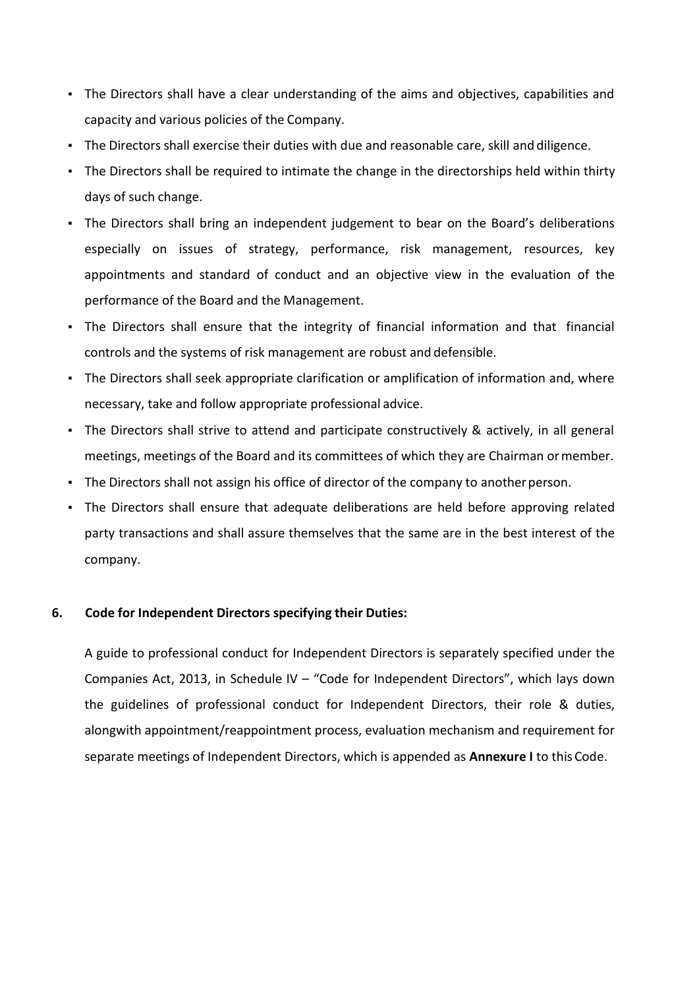- The Directors shall have a clear understanding of the aims and objectives, capabilities and<br>
capacity and various policies of the Company.<br>
The Directors shall exercise their duties with due and reasonable care, skill and
- 
- 
- The Directors shall have a clear understanding of the aims and objectives, capabilities and<br>capacity and various policies of the Company.<br>The Directors shall exercise their duties with due and reasonable care, skill and di The Directors shall have a clear understanding of the aims and objectives, capabilities and<br>capacity and various policies of the Company.<br>The Directors shall exercise their duties with due and reasonable care, skill and di The Directors shall have a clear understanding of the aims and objectives, capabilities and<br>capacity and various policies of the Company.<br>The Directors shall exercise their duties with due and reasonable care, skill and di The Directors shall have a clear understanding of the aims and objectives, capabilities and<br>capacity and various policies of the Company.<br>The Directors shall exercise their duties with due and reasonable care, skill and di FREE Directors shall have a clear understanding of the aims and objectives, capabilities and capacity and various policies of the Company.<br>
• The Directors shall exercise their duties with due and reasonable care, skill an Frame Directors shall have a clear understanding of the aims and objectives, capabilities and<br>
capacity and various policies of the Company.<br>
The Directors shall exercise their duties with due and reasonable care, skill an capacity and various policies of the Company.<br>
• The Directors shall exercise their duties with due and reasonable care, skill and diligence.<br>
• The Directors shall bring an independent judgement to bear on the Board's del The Directors shall be required to intimate the change in the directorships held within thirty<br>days of such change.<br>The Directors shall bring an independent judgement to bear on the Board's deliberations<br>especially on iss especially on issues of strategy, performance, risk management, resources, key<br>appointments and standard of conduct and an objective view in the evaluation of the<br>performance of the Board and the Management.<br>The Directors
- 
- 
- 
- 
- company. From Directors shall ensure that the integrity of financial information and that financial<br>controls and the systems of risk management are robust and defensible.<br>The Directors shall seek appropriate clarification or amplif

The Directors shall seek appropriate clarification or amplification of information and, where necessary, take and follow appropriate professional advice.<br>The Directors shall strive to attend and participate constructively necessary, take and follow appropriate professional advice.<br>The Directors shall strive to attend and participate constructively & actively, in all general<br>meetings, meetings of the Board and its committees of which they ar The Directors shall strive to attend and participate constructively & actively, in all general<br>meetings, meetings of the Board and its committees of which they are Chairman or member.<br>The Directors shall not assign his off meetings, meetings of the Board and its committees of which they are Chairman or member.<br>The Directors shall not assign his office of director of the company to another person.<br>The Directors shall ensure that adequate deli The Directors shall not assign his office of director of the company to another person.<br>The Directors shall ensure that adequate deliberations are held before approving related<br>party transactions and shall assure themselve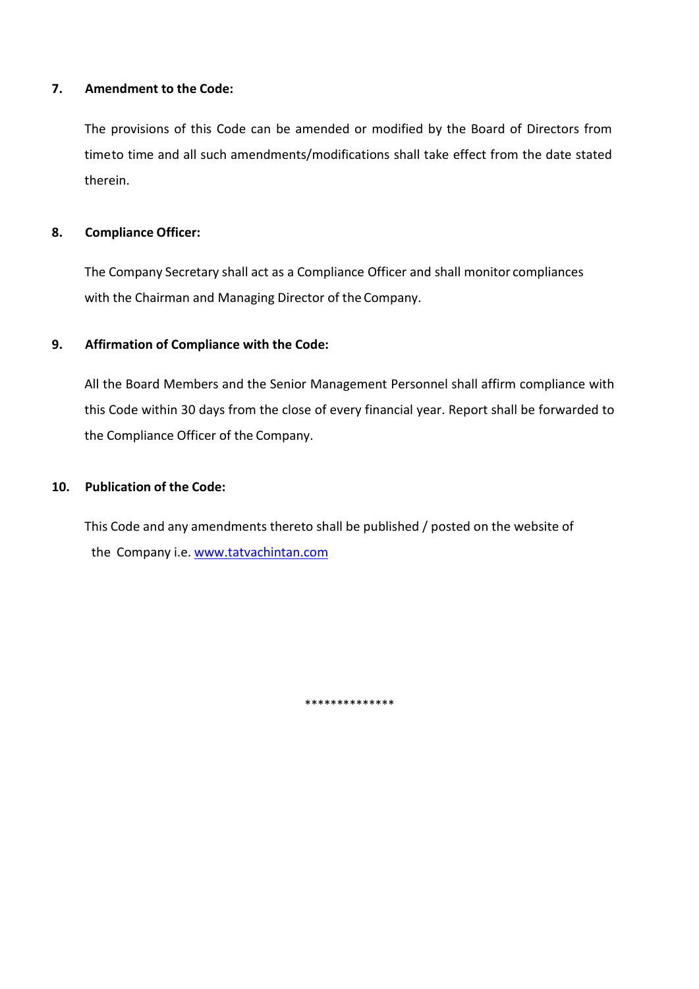7. Amendment to the Code:<br>The provisions of this Code can be amended or modified by the Board of Directors<br>timeto time and all such amendments/modifications shall take effect from the date st Amendment to the Code:<br>The provisions of this Code can be amended or modified by the Board of Directors from<br>timeto time and all such amendments/modifications shall take effect from the date stated<br>therein. Amendment to the Code:<br>The provisions of this Code can be amended or modified by the Board of Directors from<br>timeto time and all such amendments/modifications shall take effect from the date stated<br>therein.<br>Compliance Offi therein. 7. Amendment to the Code:<br>
The provisions of this Code can be amended or modified by the Board of Di<br>
timeto time and all such amendments/modifications shall take effect from the<br>
therein.<br>
8. Compliance Officer:<br>
The Comp Amendment to the Code:<br>The provisions of this Code can be amended or modified by the Board of Directors from<br>timeto time and all such amendments/modifications shall take effect from the date stated<br>therein.<br>Compliance Offi Amendment to the Code:<br>The provisions of this Code can be amended or modified by the Board of Directors from<br>timeto time and all such amendments/modifications shall take effect from the date stated<br>therein.<br>Compliance Offi 9.<br>
9. Amendment to the Code:<br>
9. The provisions of this Code can be amended or modified by the Board of Directors from<br>
19. timeto time and all such amendments/modifications shall take effect from the date stated<br>
19. **Co** 

All the provisions of this Code can be amended or modified by the Board of Directors from<br>timeto time and all such amendments/modifications shall take effect from the date stated<br>therein.<br>**Compliance Officer:**<br>The Company The provisions of this Code can be amended or modified by the Board of Directors from<br>timeto time and all such amendments/modifications shall take effect from the date stated<br>therein.<br>**Compliance Officer:**<br>The Company Secr timeto time and all such amendments/modifications shall take effect from the date stated<br>therein.<br> **Compliance Officer:**<br>
The Company Secretary shall act as a Compliance Officer and shall monitor compliances<br>
with the Chai 10. Compliance Officer:<br>
12. The Company Secretary shall act as a Compliance Officer and shall monitor compliance<br>
12. The Company secretary shall act as a Compliance Officer and shall monitor compliance<br>
12. Affirmation o The Company Secretary shall act as a Compliance Officer and shall monitor compliances<br>with the Chairman and Managing Director of the Company.<br>Affirmation of Compliance with the Code:<br>All the Board Members and the Senior Ma he Company Secretary shall act as a Compliance Officer and shall monitor compliances<br>vith the Chairman and Managing Director of the Company.<br>**Iffirmation of Compliance with the Code:**<br>Ill the Board Members and the Senior M

\*\*\*\*\*\*\*\*\*\*\*\*\*\*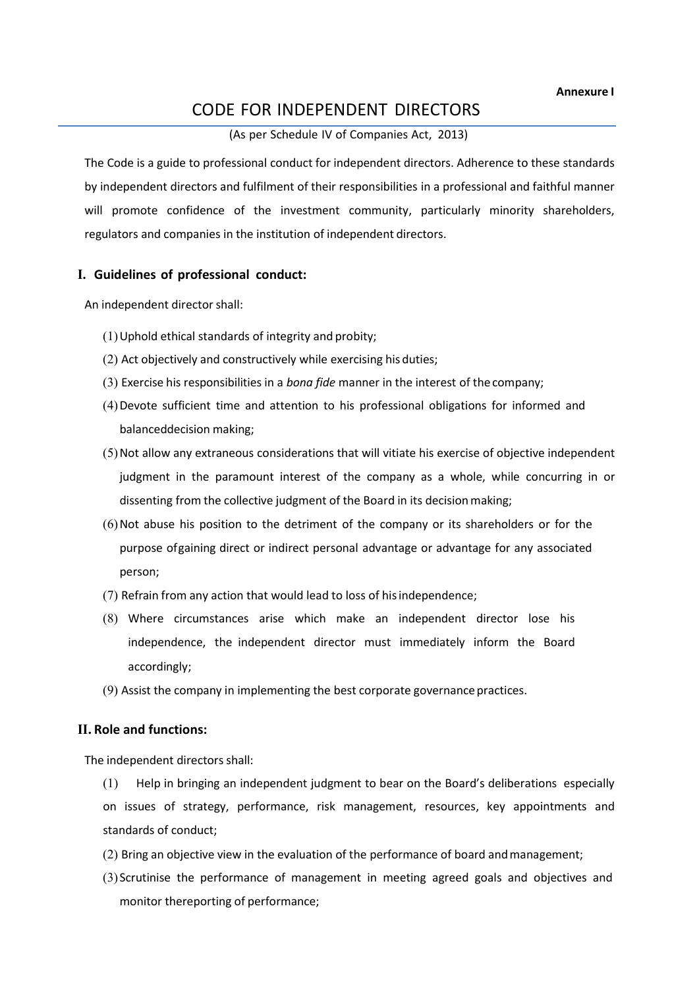Annexure I Annexure I<br>
CODE FOR INDEPENDENT DIRECTORS<br>
(As per Schedule IV of Companies Act, 2013)<br>
co professional conduct for independent directors. Adherence to these standards<br>
ctors and fulfilment of their responsibilities in a Annexure I<br>
E FOR INDEPENDENT DIRECTORS<br>
(As per Schedule IV of Companies Act, 2013)<br>
sisional conduct for independent directors. Adherence to these standards<br>
and fulfilment of their responsibilities in a professional and CODE FOR INDEPENDENT DIRECTORS<br>
(As per Schedule IV of Companies Act, 2013)<br>
The Code is a guide to professional conduct for independent directors. Adherence to these standards<br>
by independent directors and fulfilment of t **EXECTORS** (As per Schedule IV of Companies Act, 2013)<br>The Code is a guide to professional conduct for independent directors. Adherence to these standards<br>by independent directors and fulfilment of their responsibilities i EXTERN CODE FOR INDEPENDENT DIRECTORS<br>
(As per Schedule IV of Companies Act, 2013)<br>
The Code is a guide to professional conduct for independent directors. Adherence to these standards<br>
by independent directors and fulfilme **CODE FOR INDEPENDENT DIRECTORS**<br>
(As per Schedule IV of Companies Act, 2013)<br>
The Code is a guide to professional conduct for independent directors. Adherence to these standards<br>
by independent directors and fulfilment of **EXECTS ANDEPENDENT DIRECTORS**<br>
(As per Schedule IV of Companies Act, 2013)<br>
The Code is a guide to professional conduct for independent directors. Adherence to these standards<br>
by independent directors and fulfilment of t **Annexum CODE FOR INDEPENDENT DIRECTORS**<br>
(As per Schedule IV of Companies Act, 2013)<br>
The Code is a guide to professional conduct for independent directors. Adherence to these standa<br>
by independent directors and fulfilme (1)Uphold ethical standards of integrity and probity; **EXECT ANDE ASSEM ASSEM ASSEMUT DIRECTORS**<br>
(As per Schedule IV of Companies Act, 2013)<br>
Code is a guide to professional conduct for independent directors. Adherence to these standards<br>
Independent directors and fulfilment (3) EXERCTORS<br>
(3) Exercise his responsible IV of Companies Act, 2013)<br>
(3) Exercise is a guide to professional conduct for independent directors. Adherence to these standards<br>
Independent directors and fulfilment of their CODE PON INDEPENDENT DIRECTORS<br>
(As per Schedule IV of Companies Act, 2013)<br>
code is a guide to professional conduct for independent directors. Adherence to these standards<br>
independent directors and fulfillment of their r (As per scheaule IV or Companies Act, 2013)<br>
de is a guide to professional conduct for independent directors. Adherence to these standa<br>
ependent directors and fulfilment of their responsibilities in a professional and fai Code is a guide to professional conduct for independent directors. Adherence to these standards<br>
Independent directors and fulfilment of their responsibilities in a professional and faithful manner<br>
promote confidence of t ependent directors and fulfilment of their responsibilities in a professional and faithful manner<br>romote confidence of the investment community, particularly minority shareholders,<br>cors and companies in the institution of

- 
- 
- 
- 
- romote confidence of the investment community, particularly minority shareholders,<br>tors and companies in the institution of independent directors.<br> **lelines of professional conduct:**<br> **Lelines of professional conduct:**<br>
Ac ulators and companies in the institution of independent directors.<br>
uidelines of professional conduct:<br>
(1) Uphold ethical standards of integrity and probity;<br>
(2) Act objectively and constructively while exercising his du **Ielines of professional conduct:**<br>
Uphold ethical standards of integrity and probity;<br>
Act objectively and constructively while exercising his duties;<br>
Exercise his responsibilities in a *bono fide* manner in the interest (1) Uphold ethical standards of integrity and probity;<br>
(2) Act objectively and constructively while exercising his duties;<br>
(3) Exercise his responsibilities in a *bono fide* manner in the interest of the company;<br>
(4) De (1) Uphold ethical standards of integrity and probity;<br>
(2) Act objectively and constructively while exercising his duties;<br>
(3) Exercise his responsibilities in a *bono fide* manner in the interest of the company;<br>
(4) De ct objectively and constructively while exercising his duties;<br>vercise his responsibilities in a *bona fide* manner in the interest of the company;<br>evote sufficient time and attention to his professional obligations for in (4) Devote sufficient time and attention to his professional obligations for informed and<br>balanceddecision making;<br>(5) Not allow any extraneous considerations that will vitiate his exercise of objective independent<br>judgmen
- person;
- 
- accordingly; (5) Not allow any extraneous considerations that will vitiate his exercise of objectiantly ident in the paramount interest of the company as a whole, while consistenting from the collective judgment of the Board in its de purpose ofgaining direct or indirect personal advantage or advantage for any asse<br>person;<br>(7) Refrain from any action that would lead to loss of his independence;<br>(8) Where circumstances arise which make an independent dir
	-

independent in the paramount interest of the company as a whole, while concurring in oritizenting from the collective judgment of the Board in its decision making;<br>
(6) Not abuse his position to the detriment of the compan dissenting from the collective judgment of the Board in its decision making;<br>(6) Not abuse his position to the detriment of the company or its shareholders or for the<br>purpose ofgaining direct or indirect personal advantage (6) Not abuse his position to the detriment of the company or its shareholders or for the<br>purpose ofgaining direct or indirect personal advantage or advantage for any associated<br>person;<br>(7) Refrain from any action that wou person;<br>
(7) Refrain from any action that would lead to loss of his independence;<br>
(8) Where circumstances arise which make an independent director lose his<br>
independence, the independent director must immediately inform t (7) Refrain from any action that would lead to loss of his independence;<br>(8) Where circumstances arise which make an independent director lose his<br>independence, the independent director must immediately inform the Board<br>ac Where circumstances arise which make an independent director lose his<br>independence, the independent director must immediately inform the Board<br>accordingly;<br>Assist the company in implementing the best corporate governance p

- 
-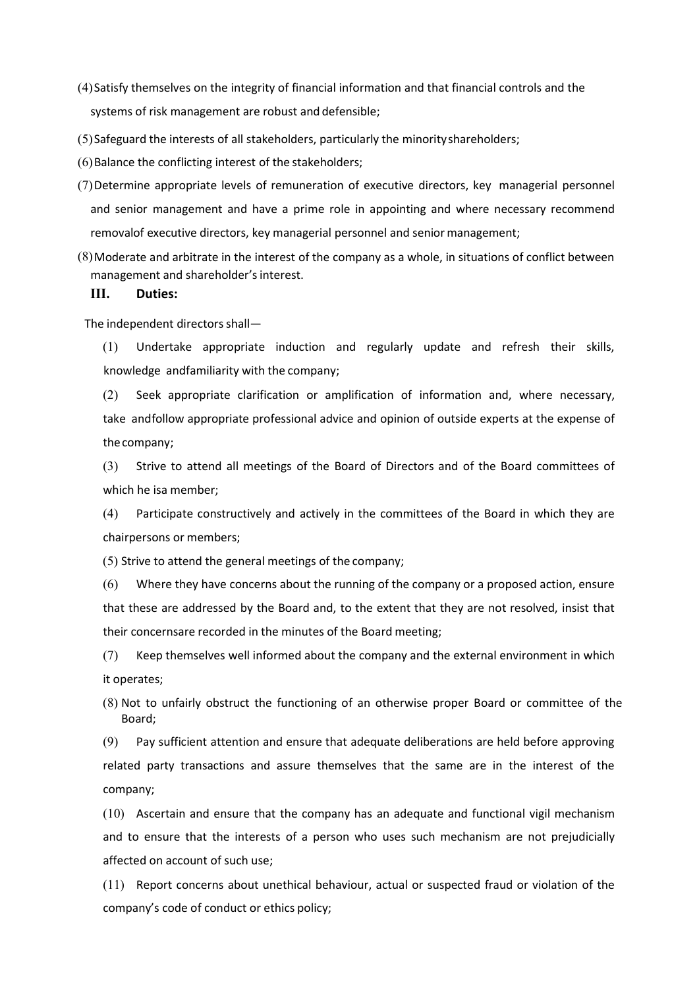- (4) Satisfy themselves on the integrity of financial information and that financial controls and the<br>systems of risk management are robust and defensible;<br>(5) Safeguard the interests of all stakeholders, particularly the m Satisfy themselves on the integrity of financial information and that financial controls and the<br>systems of risk management are robust and defensible;<br>Safeguard the interests of all stakeholders, particularly the minority
- 
- 
- (4) Satisfy themselves on the integrity of financial information and that financial controls and the<br>systems of risk management are robust and defensible;<br>(5) Safeguard the interests of all stakeholders, particularly the m (4) Satisfy themselves on the integrity of financial information and that financial controls and the<br>systems of risk management are robust and defensible;<br>(5) Safeguard the interests of all stakeholders, particularly the m (4) Satisfy themselves on the integrity of financial information and that financial controls and the<br>systems of risk management are robust and defensible;<br>(5) Safeguard the interests of all stakeholders, particularly the m Satisfy themselves on the integrity of financial information and that financial controls and the<br>systems of risk management are robust and defensible;<br>Safeguard the interests of all stakeholders, particularly the minority Satisfy themselves on the integrity of financial information and that financial controls and the<br>systems of risk management are robust and defensible;<br>Safeguard the interests of all stakeholders, particularly the minority (4) Satisfy themselves on the integrity of financial information and that financial controls and the<br>systems of risk management are robust and defensible;<br>(5) Safeguard the interests of all stakeholders, particularly the Satisfy themselves on the integrity of financial information and that financial controls and the<br>systems of risk management are robust and defensible;<br>Dafeguard the interests of all stakeholders, particularly the minority 4) Satisfy themselves on the integrity of financial information and that financial controls and the<br>systems of risk management are robust and defensible;<br>S) Salance the conflicting interest of all stakeholders, particularl etisfy themselves on the integrity of financial information and that financial controls and the<br>stems of risk management are robust and defensible;<br>feguard the interests of all stakeholders, particularly the minority share tisfy themselves on the integrity of financial information and that financial controls and the<br>tems of risk management are robust and defensible;<br>rifeguard the interests of all stakeholders, particularly the minority share stems of risk management are robust and defensible;<br>sifeguard the interests of all stakeholders, particularly the minority shareholders;<br>alance the conflicting interest of the stakeholders;<br>etermine appropriate levels of r of the complication of all stakeholders, particularly the minority shareholders;<br>alance the conflicting interest of the stakeholders;<br>retermine appropriate levels of remuneration of executive directors, key managerial pers etermine appropriate levels of remuneration of executive directors, key managerial personnel<br>d senior management and have a prime role in appointing and where necessary recommend<br>movalof executive directors, key managerial
- 

# III. Duties:

thecompany; d senior management and have a prime role in appointing and where necessary movalof executive directors, key managerial personnel and senior management;<br>hoderate and arbitrate in the interest of the company as a whole, in movalof executive directors, key managerial personnel and senior management;<br>loderate and arbitrate in the interest of the company as a whole, in situations of conflict between<br>anagement and shareholder's interest.<br>[1] Und Ioderate and arbitrate in the interest of the company as a whole, in situations of conflict I<br> **I.** Duties:<br> **I.** Duties:<br> **I.** Duties:<br> **I.** Duties:<br> **I.** Duties:<br> **I.** Duties:<br> **I.** Duties:<br> **I.** Duties:<br> **I.** Duties:<br>

anagement and shareholder's interest.<br>
1. Duties:<br>
(1) Undertake appropriate induction and regularly update and refresh their skills,<br>
knowledge andfamiliarity with the company;<br>
(2) Seek appropriate clarification or ampli **I.** Duties:<br>
(1) Undertake appropriate induction and regularly update and refresh their skills,<br>
knowledge andfamiliarity with the company;<br>
(2) Seek appropriate clarification or amplification of information and, where ne independent directors shall—<br>
(1) Undertake appropriate induction and regularly update and refresh their skills,<br>
knowledge andfamiliarity with the company;<br>
(2) Seek appropriate clarification or amplification of informati (1) Undertake appropriate induction and regularly update and refresh their skills,<br>
knowledge andfamiliarity with the company;<br>
(2) Seek appropriate clarification or amplification of information and, where necessary,<br>
take knowledge andfamiliarity with the company;<br>
(2) Seek appropriate clarification or amplification of information and, where necessary,<br>
take andfollow appropriate professional advice and opinion of outside experts at the exp (2) Seek appropriate clarification or amplification of information and<br>take andfollow appropriate professional advice and opinion of outside exp<br>the company;<br>(3) Strive to attend all meetings of the Board of Directors and take andfollow appropriate professional advice and opinion of outside experts at the expense of<br>the company;<br>(3) Strive to attend all meetings of the Board of Directors and of the Board committees of<br>which he isa member;<br>(

Board;

CONTIGNTS Are the Board of Directors and of the Board committees of<br>
(3) Strive to attend all meetings of the Board of Directors and of the Board in which they are<br>
chairpersons or members;<br>
(5) Strive to attend the genera relation the isa member;<br>
which he isa member;<br>
(4) Participate constructively and actively in the committees of the Board in which they are<br>
chairpersons or members;<br>
(5) Strive to attend the general meetings of the compa company; (10) Ascertain and ensure that the company has an adequate and functions of members;<br>
(5) Strive to attend the general meetings of the company;<br>
(6) Where they have concerns about the running of the company or a proposed a (5) Strive to attend the general meetings of the company;<br>
(6) Where they have concerns about the running of the company or a proposed action, ensure<br>
that these are addressed by the Board and, to the extent that they are (6) Where they have concerns about the running of the company or a proposed action, ensure<br>
(6) Where they have concerns about the running of the company or a proposed action, ensure<br>
that these are addressed by the Board (10) Report concerns about unethical behaviour, actual or suspected fraud or violation of the concerns are recorded in the minutes of the Board meeting:<br>
(7) Keep themselves well informed about the company and the external their concernsare recorded in the minutes of the Board meeting;<br>(7) Keep themselves well informed about the company and the external environment in which<br>it operates;<br>(8) Not to unfairly obstruct the functioning of an othe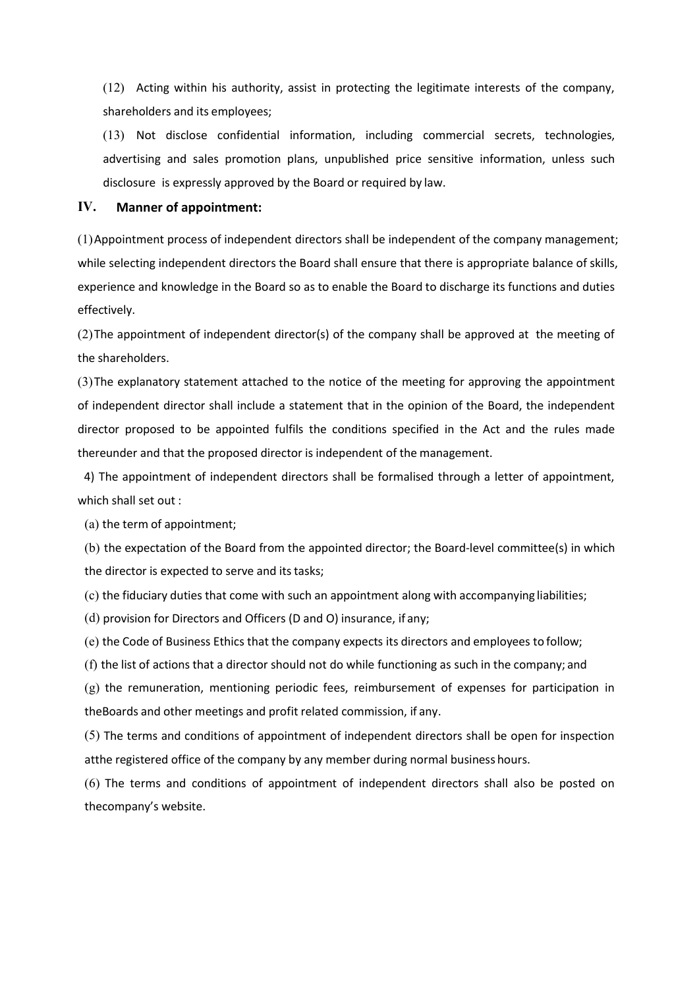(12) Acting within his authority, assist in protecting the legitimate interests of the company,<br>shareholders and its employees;<br>(13) Not disclose confidential information, including commercial secrets, technologies,<br>advert (12) Acting within his authority, assist in protecting the legitimate interests of the compashareholders and its employees;<br>(13) Not disclose confidential information, including commercial secrets, technolog<br>advertising an (12) Acting within his authority, assist in protecting the legitimate interests of the company,<br>shareholders and its employees;<br>(13) Not disclose confidential information, including commercial secrets, technologies,<br>advert (12) Acting within his authority, assist in protecting the legitimate interests of the company,<br>shareholders and its employees;<br>(13) Not disclose confidential information, including commercial secrets, technologies,<br>advert (12) Acting within his authority, assist in protecting the legitimate interests of the company,<br>shareholders and its employees;<br>(13) Not disclose confidential information, including commercial secrets, technologies,<br>advert

(12) Acting within his authority, assist in protecting the legitimate interests of the characholders and its employees;<br>
(13) Not disclose confidential information, including commercial secrets, tech<br>
advertising and sale (12) Acting within his authority, assist in protecting the legitimate interests of the company, shareholders and its employees;<br>
(13) Not disclose confidential information, including commercial secrets, technologies, adver (12) Acting within his authority, assist in protecting the legitimate interests of the company,<br>shareholders and its employees;<br>(13) Not disclose confidential information, including commercial secrets, technologies,<br>adver (12) Acting within his authority, assist in protecting the legitimate interests of the company,<br>shareholders and its employees;<br>(13) Not disclose confidential information, including commercial secrets, technologies,<br>adver effectively. (12) Acting within his authority, assist in protecting the legitimate interests of the company, shareholders and its employees;<br>
(13) Not disclose confidential information, including commercial secrets, technologies,<br>
adv (12) Acting within his authority, assist in protecting the legitimate in<br>shareholders and its employees;<br>(13) Not disclose confidential information, including commercia<br>advertising and sales promotion plans, unpublished p

(12) Acting within his authority, assist in protecting the legitimate interests of the company,<br>shareholders and its employees;<br>(13) Not disclose confidential information, including commercial secrets, technologies,<br>advert shareholders and its employees;<br>
(13) Not disclose confidential information, including commercial secrets, technologies,<br>
advertising and sales promotion plans, unpublished price sensitive information, unless such<br>
disclos (1.3) Not disclose confidential information, including commercial secrets, technologies,<br>advertising and sales promotion plans, unpublished price sensitive information, unless such<br>disclosure is expressly approved by the advertising and sales promotion plans, unpublished price sensitive information, unless such<br>disclosure is expressly approved by the Board or required by law.<br>IV. Manner of appointment:<br>(1) Appointment process of independen disclosure is expressiv approved by the Board or required by law.<br> **V.** Manner of appointment:<br>
1) Appointment process of independent directors shall be independent of the company management;<br>
hile selecting independent di IV. Manner of appointment:<br>
(1) Appointment process of independent directors shall be independent of the company ma<br>
while selecting independent directors the Board shall ensure that there is appropriate balan<br>
experience I) Appointment process of independent directors shall be independent of the company r<br>
while selecting independent directors the Board shall ensure that there is appropriate bal<br>
xperience and knowledge in the Board so as thile selecting independent directors the Board shall ensure that there is appropriate balance of skills,<br>sperience and knowledge in the Board so as to enable the Board to discharge its functions and duties<br>ffectively.<br>2)T xperience and knowledge in the Board so as to enable the Board to discharge its functions and duties<br>flectively.<br>2)The appointment of independent director(s) of the company shall be approved at the meeting of<br>eshareholders ffectively.<br>
S)The appointment of independent director(s) of the company shall be approved at the meeting of<br>
eshareholders.<br>
S)The explanatory statement attached to the notice of the meeting for approving the appointment<br> 2) The appointment of independent director(s) of the company shall be approved at the meeting of<br>
19) The explanatory statement attached to the notice of the meeting for approving the appointment<br>
19) The explanatory state The explanatory statement attached to the notice of the meeting for approving the appointment<br>
findependent director shall include a statement that in the opinion of the Board, the independent<br>
director proposed to be appo (f)) The explanatory statement attached to the notice of the meeting for approving the appointment<br>
independent director shall include a statement that in the opinion of the Board, the independent<br>
irector proposed to be a f independent director shall include a statement that in the opinion of the Board, the independent<br>viector proposed to be appointed fulfils the conditions specified in the Act and the rules made<br>ereunder and that the propo irector proposed to be appointed fulfils the conditions specified in the Act and the rules made<br>ereeunder and that the proposed director is independent of the management.<br>4) The appointment of independent directors shall b

nereunder and that the proposed director is independent of the management.<br>4) The appointment of independent directors shall be formalised through a letter of appointment,<br>hich shall set out :<br>(a) the term of appointment;<br> 4) The appointment of independent directors shall be formalised through a letter of appointment,<br>which shall set out :<br>(a) the term of appointment;<br>(b) the expectation of the Board from the appointed director; the Board-le (a) the term of appointment;<br>(b) the expectation of the Board from the appointed director; the Board-level committee(s) in which<br>the director is expected to serve and its tasks;<br>(c) the fiduciary duties that come with such (a) the term of appointment;<br>(b) the expectation of the Board from the appointed director; the Board-level committe<br>the director is expected to serve and its tasks;<br>(c) the fiduciary duties that come with such an appointme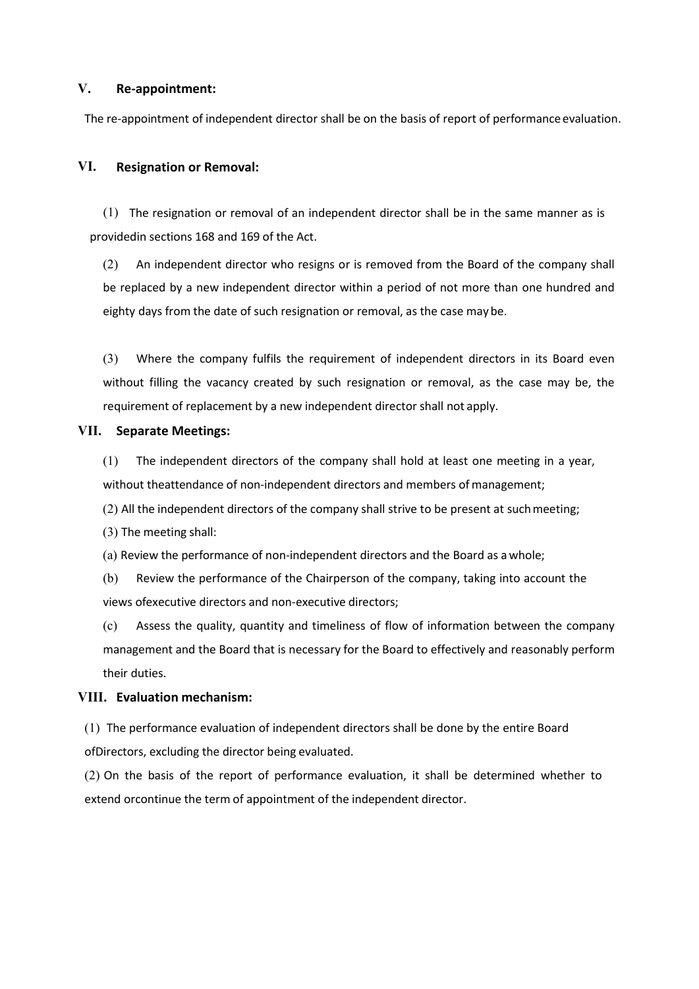# V. Re-appointment:

The re-appointment:<br>The re-appointment of independent director shall be on the basis of report of performance evaluation.<br>The resignation or Removal:

V. Re-appointment:<br>The re-appointment of independent director shall be on the basis of report of performance evalue<br>VI. Resignation or Removal:<br>(1) The resignation or removal of an independent director shall be in the same

(1) The resignation or Removal:<br>
1) The resignation or Removal:<br>
1) The resignation or removal of an independent director shall be in the same manner as is<br>
1) The resignation or removal of an independent director shall be **Re-appointment:**<br>
The re-appointment of independent director shall be on the basis of report of performance evaluation.<br> **E.**<br> **Resignation or Removal:**<br>
(1) The resignation or removal of an independent director shall be (2) Re-appointment:<br>
The appointment of independent director shall be on the basis of report of performance evaluation.<br> **Resignation or Removal:**<br>
(1) The resignation or removal of an independent director shall be in the **Re-appointment:**<br>
re-appointment of independent director shall be on the basis of report of performance evaluation.<br> **Resignation or Removal:**<br>
(1) The resignation or removal of an independent director shall be in the sam Re-appointment:<br>
re-appointment of independent director shall be on the basis of report of performance evaluation.<br>
Resignation or Removal:<br>
(1) The resignation or removal of an independent director shall be in the same ma Re-appointment:<br>
re-appointment of independent director shall be on the basis of report of performance evaluation.<br>
Resignation or Removal:<br>
(1) The resignation or removal of an independent director shall be in the same ma Re-appointment:<br>
re-appointment of independent director shall be on the basis of report of performance evaluation.<br>
Resignation or Removal:<br>
(1) The resignation or removal of an independent director shall be in the same ma re-appointment of independent director shall be on the basis of report of performance evaluation.<br> **Resignation or Removal:**<br>
(1) The resignation or removal of an independent director shall be in the same manner as is<br>
siv VI. **Resignation or Removal:**<br>
(1) The resignation or removal of an independent director shall be in the same mare<br>
provided in sections 168 and 169 of the Act.<br>
(2) An independent director who resigns or is removed from Resignation or Removal:<br>
(1) The resignation or removal of an independent director shall be in the same manner as is<br>
ovidedin sections 168 and 169 of the Act.<br>
(2) An independent director who resigns or is removed from th (1) The resignation or removal of an independent director shall be in the same manner as is<br>ovidedin sections 168 and 169 of the Act.<br>(2) An independent director who resigns or is removed from the Board of the company shal (1) The resignation of removal of all meperioent directors shall be in the same manner as is<br>covided in sections 168 and 169 of the Act.<br>(2) An independent director within a period of not more than one hundred and<br>be repla ovided in sections 168 and 169 of the Act.<br>
(2) An independent director who resigns or is removed from the Board of the compa<br>
be replaced by a new independent director within a period of not more than one hund<br>
eighty day

(2) An independent director who resigns or is removed from the Board of the company shall<br>be replaced by a new independent director within a period of not more than one hundred and<br>eighty days from the date of such resigna be replaced by a new independent director within a period of not more than one hundred and<br>eighty days from the date of such resignation or removal, as the case may be.<br>
(3) Where the company fulfils the requirement of ind eighty days from the date of such resignation or removal, as the case may be.<br>
(3) Where the company fulfils the requirement of independent directors in its Board even<br>
without filling the vacancy created by such resignati (3) Where the company fulflis the requirement of independent directors in its Board even<br>without filling the vacancy created by such resignation or removal, as the case may be, the<br>requirement of replacement by a new indep (3) Where the company fulfilis the requirement of independent directors in its Board even<br>without filling the vacancy created by such resignation or removal, as the case may be, the<br>requirement of replacement by a new inde

without filling the vacancy created by such resignation or removal, as the<br>requirement of replacement by a new independent director shall not apply.<br>**Separate Meetings:**<br>(1) The independent directors of the company shall h requirement of replacement by a new independent director shall not apply.<br>
VII. Separate Meetings:<br>
(1) The independent directors of the company shall hold at least one meeting in a<br>
without theattendance of non-independen 11. **Separate meetangs.**<br>
(1) The independent directors of the company shall hold at least one meeting in a year,<br>
(2) All the independent directors of the company shall strive to be present at such meeting;<br>
(3) The meeti (1) The independent directors of the company shall hold at least one meeting in a year,<br>without theattendance of non-independent directors and members of management;<br>(2) All the independent directors of the company shall s without theattendance of non-independent directors and members of management;<br>(2) All the independent directors of the company shall strive to be present at such meeting;<br>(3) The meeting shall:<br>(a) Review the performance (2) All the independent directors of the company shall strive to be present at such meeting;<br>
(3) The meeting shall:<br>
(a) Review the performance of non-independent directors and the Board as a whole;<br>
(b) Review the perfo